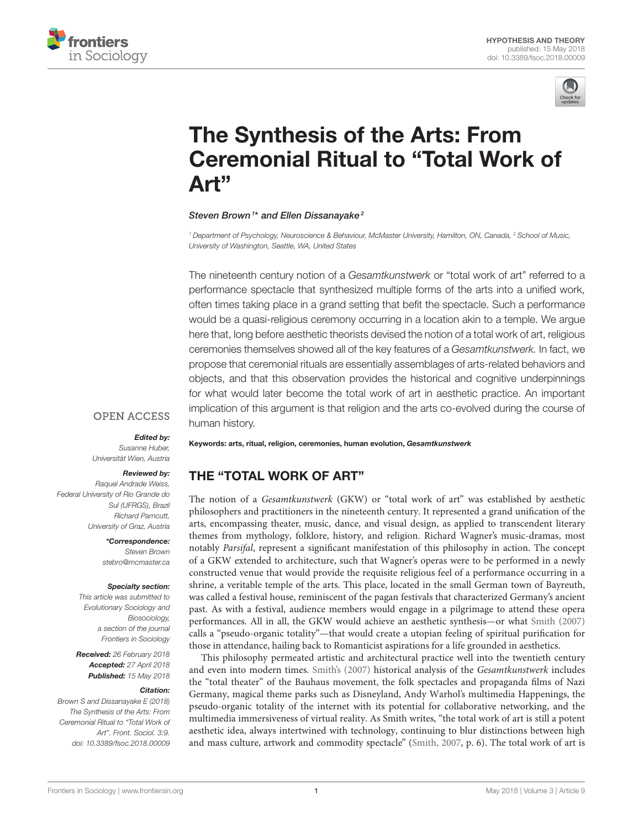



# The Synthesis of the Arts: From [Ceremonial Ritual to "Total Work of](https://www.frontiersin.org/articles/10.3389/fsoc.2018.00009/full) Art"

#### [Steven Brown](http://loop.frontiersin.org/people/28985/overview)<sup>1\*</sup> and Ellen Dissanayake<sup>2</sup>

<sup>1</sup> Department of Psychology, Neuroscience & Behaviour, McMaster University, Hamilton, ON, Canada, <sup>2</sup> School of Music, University of Washington, Seattle, WA, United States

The nineteenth century notion of a Gesamtkunstwerk or "total work of art" referred to a performance spectacle that synthesized multiple forms of the arts into a unified work, often times taking place in a grand setting that befit the spectacle. Such a performance would be a quasi-religious ceremony occurring in a location akin to a temple. We argue here that, long before aesthetic theorists devised the notion of a total work of art, religious ceremonies themselves showed all of the key features of a Gesamtkunstwerk. In fact, we propose that ceremonial rituals are essentially assemblages of arts-related behaviors and objects, and that this observation provides the historical and cognitive underpinnings for what would later become the total work of art in aesthetic practice. An important implication of this argument is that religion and the arts co-evolved during the course of human history.

#### **OPEN ACCESS**

#### Edited by:

Susanne Huber, Universität Wien, Austria

#### Reviewed by:

Raquel Andrade Weiss, Federal University of Rio Grande do Sul (UFRGS), Brazil Richard Parncutt, University of Graz, Austria

> \*Correspondence: Steven Brown [stebro@mcmaster.ca](mailto:stebro@mcmaster.ca)

#### Specialty section:

This article was submitted to Evolutionary Sociology and Biosociology, a section of the journal Frontiers in Sociology

Received: 26 February 2018 Accepted: 27 April 2018 Published: 15 May 2018

#### Citation:

Brown S and Dissanayake E (2018) The Synthesis of the Arts: From Ceremonial Ritual to "Total Work of Art". Front. Sociol. 3:9. doi: [10.3389/fsoc.2018.00009](https://doi.org/10.3389/fsoc.2018.00009) Keywords: arts, ritual, religion, ceremonies, human evolution, Gesamtkunstwerk

# THE "TOTAL WORK OF ART"

The notion of a Gesamtkunstwerk (GKW) or "total work of art" was established by aesthetic philosophers and practitioners in the nineteenth century. It represented a grand unification of the arts, encompassing theater, music, dance, and visual design, as applied to transcendent literary themes from mythology, folklore, history, and religion. Richard Wagner's music-dramas, most notably Parsifal, represent a significant manifestation of this philosophy in action. The concept of a GKW extended to architecture, such that Wagner's operas were to be performed in a newly constructed venue that would provide the requisite religious feel of a performance occurring in a shrine, a veritable temple of the arts. This place, located in the small German town of Bayreuth, was called a festival house, reminiscent of the pagan festivals that characterized Germany's ancient past. As with a festival, audience members would engage in a pilgrimage to attend these opera performances. All in all, the GKW would achieve an aesthetic synthesis—or what [Smith \(2007\)](#page-9-0) calls a "pseudo-organic totality"—that would create a utopian feeling of spiritual purification for those in attendance, hailing back to Romanticist aspirations for a life grounded in aesthetics.

This philosophy permeated artistic and architectural practice well into the twentieth century and even into modern times. [Smith's \(2007\)](#page-9-0) historical analysis of the Gesamtkunstwerk includes the "total theater" of the Bauhaus movement, the folk spectacles and propaganda films of Nazi Germany, magical theme parks such as Disneyland, Andy Warhol's multimedia Happenings, the pseudo-organic totality of the internet with its potential for collaborative networking, and the multimedia immersiveness of virtual reality. As Smith writes, "the total work of art is still a potent aesthetic idea, always intertwined with technology, continuing to blur distinctions between high and mass culture, artwork and commodity spectacle" [\(Smith, 2007,](#page-9-0) p. 6). The total work of art is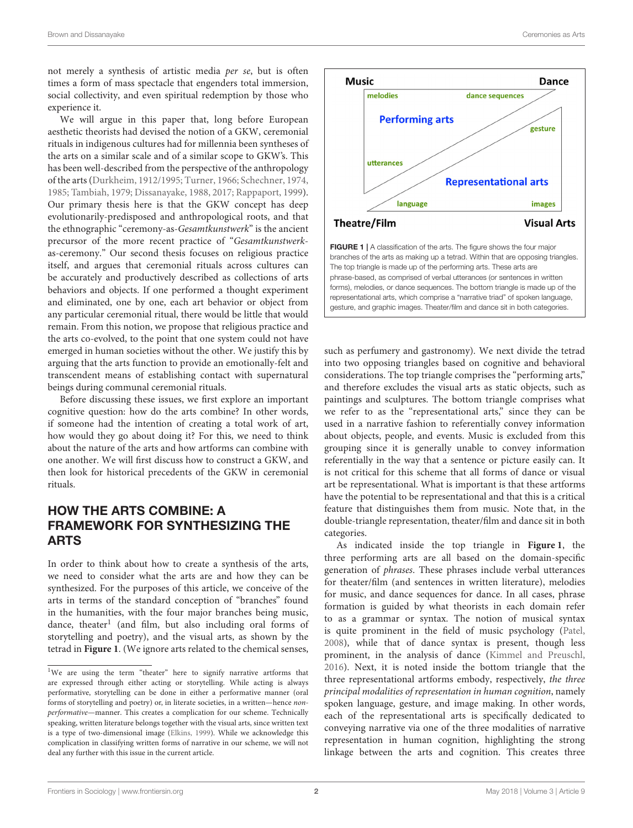not merely a synthesis of artistic media per se, but is often times a form of mass spectacle that engenders total immersion, social collectivity, and even spiritual redemption by those who experience it.

We will argue in this paper that, long before European aesthetic theorists had devised the notion of a GKW, ceremonial rituals in indigenous cultures had for millennia been syntheses of the arts on a similar scale and of a similar scope to GKW's. This has been well-described from the perspective of the anthropology of the arts [\(Durkheim, 1912/1995;](#page-9-1) [Turner, 1966;](#page-9-2) [Schechner, 1974,](#page-9-3) [1985;](#page-9-4) [Tambiah, 1979;](#page-9-5) [Dissanayake, 1988,](#page-9-6) [2017;](#page-9-7) [Rappaport, 1999\)](#page-9-8). Our primary thesis here is that the GKW concept has deep evolutionarily-predisposed and anthropological roots, and that the ethnographic "ceremony-as-Gesamtkunstwerk" is the ancient precursor of the more recent practice of "Gesamtkunstwerkas-ceremony." Our second thesis focuses on religious practice itself, and argues that ceremonial rituals across cultures can be accurately and productively described as collections of arts behaviors and objects. If one performed a thought experiment and eliminated, one by one, each art behavior or object from any particular ceremonial ritual, there would be little that would remain. From this notion, we propose that religious practice and the arts co-evolved, to the point that one system could not have emerged in human societies without the other. We justify this by arguing that the arts function to provide an emotionally-felt and transcendent means of establishing contact with supernatural beings during communal ceremonial rituals.

Before discussing these issues, we first explore an important cognitive question: how do the arts combine? In other words, if someone had the intention of creating a total work of art, how would they go about doing it? For this, we need to think about the nature of the arts and how artforms can combine with one another. We will first discuss how to construct a GKW, and then look for historical precedents of the GKW in ceremonial rituals.

# HOW THE ARTS COMBINE: A FRAMEWORK FOR SYNTHESIZING THE ARTS

In order to think about how to create a synthesis of the arts, we need to consider what the arts are and how they can be synthesized. For the purposes of this article, we conceive of the arts in terms of the standard conception of "branches" found in the humanities, with the four major branches being music, dance, theater<sup>[1](#page-1-0)</sup> (and film, but also including oral forms of storytelling and poetry), and the visual arts, as shown by the tetrad in **[Figure 1](#page-1-1)**. (We ignore arts related to the chemical senses,



<span id="page-1-1"></span>such as perfumery and gastronomy). We next divide the tetrad into two opposing triangles based on cognitive and behavioral considerations. The top triangle comprises the "performing arts," and therefore excludes the visual arts as static objects, such as paintings and sculptures. The bottom triangle comprises what we refer to as the "representational arts," since they can be used in a narrative fashion to referentially convey information about objects, people, and events. Music is excluded from this grouping since it is generally unable to convey information referentially in the way that a sentence or picture easily can. It is not critical for this scheme that all forms of dance or visual art be representational. What is important is that these artforms have the potential to be representational and that this is a critical feature that distinguishes them from music. Note that, in the double-triangle representation, theater/film and dance sit in both categories.

As indicated inside the top triangle in **[Figure 1](#page-1-1)**, the three performing arts are all based on the domain-specific generation of phrases. These phrases include verbal utterances for theater/film (and sentences in written literature), melodies for music, and dance sequences for dance. In all cases, phrase formation is guided by what theorists in each domain refer to as a grammar or syntax. The notion of musical syntax is quite prominent in the field of music psychology [\(Patel,](#page-9-10) [2008\)](#page-9-10), while that of dance syntax is present, though less prominent, in the analysis of dance [\(Kimmel and Preuschl,](#page-9-11) [2016\)](#page-9-11). Next, it is noted inside the bottom triangle that the three representational artforms embody, respectively, the three principal modalities of representation in human cognition, namely spoken language, gesture, and image making. In other words, each of the representational arts is specifically dedicated to conveying narrative via one of the three modalities of narrative representation in human cognition, highlighting the strong linkage between the arts and cognition. This creates three

<span id="page-1-0"></span><sup>1</sup>We are using the term "theater" here to signify narrative artforms that are expressed through either acting or storytelling. While acting is always performative, storytelling can be done in either a performative manner (oral forms of storytelling and poetry) or, in literate societies, in a written—hence nonperformative—manner. This creates a complication for our scheme. Technically speaking, written literature belongs together with the visual arts, since written text is a type of two-dimensional image [\(Elkins, 1999\)](#page-9-9). While we acknowledge this complication in classifying written forms of narrative in our scheme, we will not deal any further with this issue in the current article.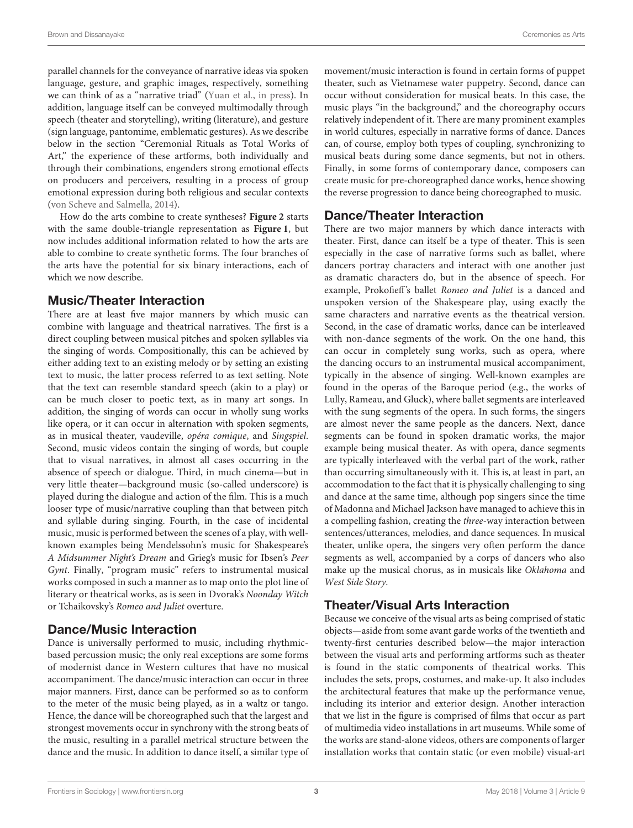parallel channels for the conveyance of narrative ideas via spoken language, gesture, and graphic images, respectively, something we can think of as a "narrative triad" [\(Yuan et al., in press\)](#page-10-0). In addition, language itself can be conveyed multimodally through speech (theater and storytelling), writing (literature), and gesture (sign language, pantomime, emblematic gestures). As we describe below in the section "Ceremonial Rituals as Total Works of Art," the experience of these artforms, both individually and through their combinations, engenders strong emotional effects on producers and perceivers, resulting in a process of group emotional expression during both religious and secular contexts [\(von Scheve and Salmella, 2014\)](#page-9-12).

How do the arts combine to create syntheses? **[Figure 2](#page-3-0)** starts with the same double-triangle representation as **[Figure 1](#page-1-1)**, but now includes additional information related to how the arts are able to combine to create synthetic forms. The four branches of the arts have the potential for six binary interactions, each of which we now describe.

### Music/Theater Interaction

There are at least five major manners by which music can combine with language and theatrical narratives. The first is a direct coupling between musical pitches and spoken syllables via the singing of words. Compositionally, this can be achieved by either adding text to an existing melody or by setting an existing text to music, the latter process referred to as text setting. Note that the text can resemble standard speech (akin to a play) or can be much closer to poetic text, as in many art songs. In addition, the singing of words can occur in wholly sung works like opera, or it can occur in alternation with spoken segments, as in musical theater, vaudeville, opéra comique, and Singspiel. Second, music videos contain the singing of words, but couple that to visual narratives, in almost all cases occurring in the absence of speech or dialogue. Third, in much cinema—but in very little theater—background music (so-called underscore) is played during the dialogue and action of the film. This is a much looser type of music/narrative coupling than that between pitch and syllable during singing. Fourth, in the case of incidental music, music is performed between the scenes of a play, with wellknown examples being Mendelssohn's music for Shakespeare's A Midsummer Night's Dream and Grieg's music for Ibsen's Peer Gynt. Finally, "program music" refers to instrumental musical works composed in such a manner as to map onto the plot line of literary or theatrical works, as is seen in Dvorak's Noonday Witch or Tchaikovsky's Romeo and Juliet overture.

# Dance/Music Interaction

Dance is universally performed to music, including rhythmicbased percussion music; the only real exceptions are some forms of modernist dance in Western cultures that have no musical accompaniment. The dance/music interaction can occur in three major manners. First, dance can be performed so as to conform to the meter of the music being played, as in a waltz or tango. Hence, the dance will be choreographed such that the largest and strongest movements occur in synchrony with the strong beats of the music, resulting in a parallel metrical structure between the dance and the music. In addition to dance itself, a similar type of movement/music interaction is found in certain forms of puppet theater, such as Vietnamese water puppetry. Second, dance can occur without consideration for musical beats. In this case, the music plays "in the background," and the choreography occurs relatively independent of it. There are many prominent examples in world cultures, especially in narrative forms of dance. Dances can, of course, employ both types of coupling, synchronizing to musical beats during some dance segments, but not in others. Finally, in some forms of contemporary dance, composers can create music for pre-choreographed dance works, hence showing the reverse progression to dance being choreographed to music.

# Dance/Theater Interaction

There are two major manners by which dance interacts with theater. First, dance can itself be a type of theater. This is seen especially in the case of narrative forms such as ballet, where dancers portray characters and interact with one another just as dramatic characters do, but in the absence of speech. For example, Prokofieff's ballet Romeo and Juliet is a danced and unspoken version of the Shakespeare play, using exactly the same characters and narrative events as the theatrical version. Second, in the case of dramatic works, dance can be interleaved with non-dance segments of the work. On the one hand, this can occur in completely sung works, such as opera, where the dancing occurs to an instrumental musical accompaniment, typically in the absence of singing. Well-known examples are found in the operas of the Baroque period (e.g., the works of Lully, Rameau, and Gluck), where ballet segments are interleaved with the sung segments of the opera. In such forms, the singers are almost never the same people as the dancers. Next, dance segments can be found in spoken dramatic works, the major example being musical theater. As with opera, dance segments are typically interleaved with the verbal part of the work, rather than occurring simultaneously with it. This is, at least in part, an accommodation to the fact that it is physically challenging to sing and dance at the same time, although pop singers since the time of Madonna and Michael Jackson have managed to achieve this in a compelling fashion, creating the three-way interaction between sentences/utterances, melodies, and dance sequences. In musical theater, unlike opera, the singers very often perform the dance segments as well, accompanied by a corps of dancers who also make up the musical chorus, as in musicals like Oklahoma and West Side Story.

# Theater/Visual Arts Interaction

Because we conceive of the visual arts as being comprised of static objects—aside from some avant garde works of the twentieth and twenty-first centuries described below—the major interaction between the visual arts and performing artforms such as theater is found in the static components of theatrical works. This includes the sets, props, costumes, and make-up. It also includes the architectural features that make up the performance venue, including its interior and exterior design. Another interaction that we list in the figure is comprised of films that occur as part of multimedia video installations in art museums. While some of the works are stand-alone videos, others are components of larger installation works that contain static (or even mobile) visual-art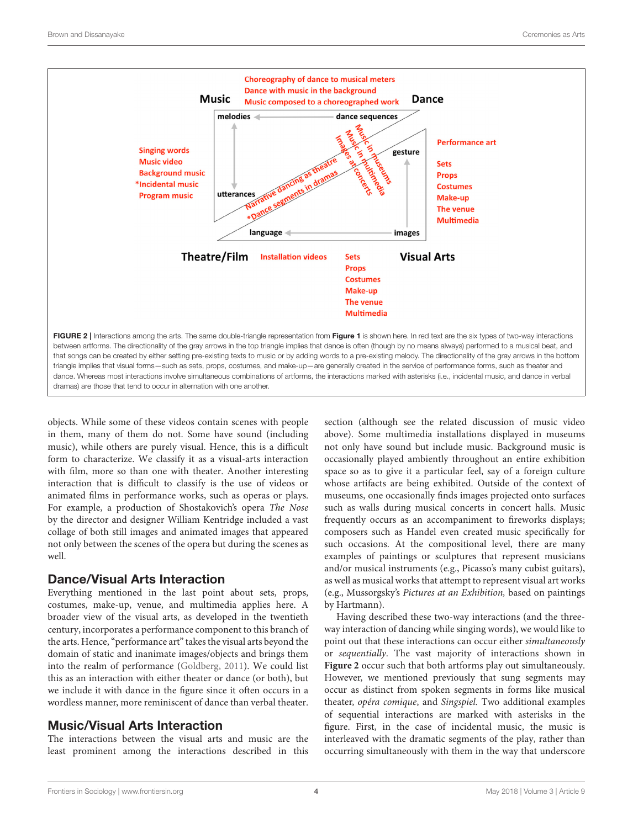

<span id="page-3-0"></span>objects. While some of these videos contain scenes with people in them, many of them do not. Some have sound (including music), while others are purely visual. Hence, this is a difficult form to characterize. We classify it as a visual-arts interaction with film, more so than one with theater. Another interesting interaction that is difficult to classify is the use of videos or animated films in performance works, such as operas or plays. For example, a production of Shostakovich's opera The Nose by the director and designer William Kentridge included a vast collage of both still images and animated images that appeared not only between the scenes of the opera but during the scenes as well.

#### Dance/Visual Arts Interaction

Everything mentioned in the last point about sets, props, costumes, make-up, venue, and multimedia applies here. A broader view of the visual arts, as developed in the twentieth century, incorporates a performance component to this branch of the arts. Hence, "performance art" takes the visual arts beyond the domain of static and inanimate images/objects and brings them into the realm of performance [\(Goldberg, 2011\)](#page-9-13). We could list this as an interaction with either theater or dance (or both), but we include it with dance in the figure since it often occurs in a wordless manner, more reminiscent of dance than verbal theater.

### Music/Visual Arts Interaction

The interactions between the visual arts and music are the least prominent among the interactions described in this section (although see the related discussion of music video above). Some multimedia installations displayed in museums not only have sound but include music. Background music is occasionally played ambiently throughout an entire exhibition space so as to give it a particular feel, say of a foreign culture whose artifacts are being exhibited. Outside of the context of museums, one occasionally finds images projected onto surfaces such as walls during musical concerts in concert halls. Music frequently occurs as an accompaniment to fireworks displays; composers such as Handel even created music specifically for such occasions. At the compositional level, there are many examples of paintings or sculptures that represent musicians and/or musical instruments (e.g., Picasso's many cubist guitars), as well as musical works that attempt to represent visual art works (e.g., Mussorgsky's Pictures at an Exhibition, based on paintings by Hartmann).

Having described these two-way interactions (and the threeway interaction of dancing while singing words), we would like to point out that these interactions can occur either simultaneously or sequentially. The vast majority of interactions shown in **[Figure 2](#page-3-0)** occur such that both artforms play out simultaneously. However, we mentioned previously that sung segments may occur as distinct from spoken segments in forms like musical theater, opéra comique, and Singspiel. Two additional examples of sequential interactions are marked with asterisks in the figure. First, in the case of incidental music, the music is interleaved with the dramatic segments of the play, rather than occurring simultaneously with them in the way that underscore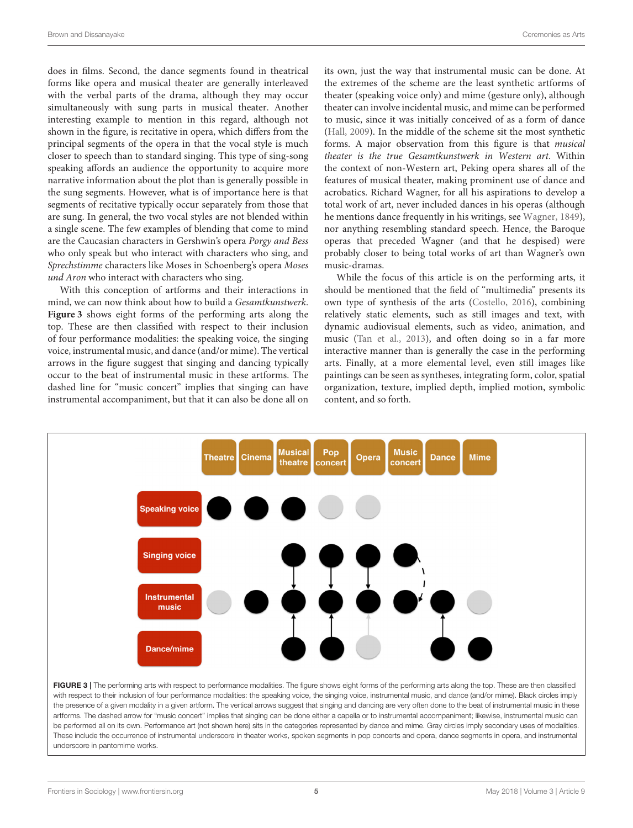does in films. Second, the dance segments found in theatrical forms like opera and musical theater are generally interleaved with the verbal parts of the drama, although they may occur simultaneously with sung parts in musical theater. Another interesting example to mention in this regard, although not shown in the figure, is recitative in opera, which differs from the principal segments of the opera in that the vocal style is much closer to speech than to standard singing. This type of sing-song speaking affords an audience the opportunity to acquire more narrative information about the plot than is generally possible in the sung segments. However, what is of importance here is that segments of recitative typically occur separately from those that are sung. In general, the two vocal styles are not blended within a single scene. The few examples of blending that come to mind are the Caucasian characters in Gershwin's opera Porgy and Bess who only speak but who interact with characters who sing, and Sprechstimme characters like Moses in Schoenberg's opera Moses und Aron who interact with characters who sing.

With this conception of artforms and their interactions in mind, we can now think about how to build a Gesamtkunstwerk. **[Figure 3](#page-4-0)** shows eight forms of the performing arts along the top. These are then classified with respect to their inclusion of four performance modalities: the speaking voice, the singing voice, instrumental music, and dance (and/or mime). The vertical arrows in the figure suggest that singing and dancing typically occur to the beat of instrumental music in these artforms. The dashed line for "music concert" implies that singing can have instrumental accompaniment, but that it can also be done all on its own, just the way that instrumental music can be done. At the extremes of the scheme are the least synthetic artforms of theater (speaking voice only) and mime (gesture only), although theater can involve incidental music, and mime can be performed to music, since it was initially conceived of as a form of dance [\(Hall, 2009\)](#page-9-14). In the middle of the scheme sit the most synthetic forms. A major observation from this figure is that musical theater is the true Gesamtkunstwerk in Western art. Within the context of non-Western art, Peking opera shares all of the features of musical theater, making prominent use of dance and acrobatics. Richard Wagner, for all his aspirations to develop a total work of art, never included dances in his operas (although he mentions dance frequently in his writings, see [Wagner, 1849\)](#page-9-15), nor anything resembling standard speech. Hence, the Baroque operas that preceded Wagner (and that he despised) were probably closer to being total works of art than Wagner's own music-dramas.

While the focus of this article is on the performing arts, it should be mentioned that the field of "multimedia" presents its own type of synthesis of the arts [\(Costello, 2016\)](#page-8-0), combining relatively static elements, such as still images and text, with dynamic audiovisual elements, such as video, animation, and music [\(Tan et al., 2013\)](#page-9-16), and often doing so in a far more interactive manner than is generally the case in the performing arts. Finally, at a more elemental level, even still images like paintings can be seen as syntheses, integrating form, color, spatial organization, texture, implied depth, implied motion, symbolic content, and so forth.



<span id="page-4-0"></span>the presence of a given modality in a given artform. The vertical arrows suggest that singing and dancing are very often done to the beat of instrumental music in these artforms. The dashed arrow for "music concert" implies that singing can be done either a capella or to instrumental accompaniment; likewise, instrumental music can be performed all on its own. Performance art (not shown here) sits in the categories represented by dance and mime. Gray circles imply secondary uses of modalities. These include the occurrence of instrumental underscore in theater works, spoken segments in pop concerts and opera, dance segments in opera, and instrumental underscore in pantomime works.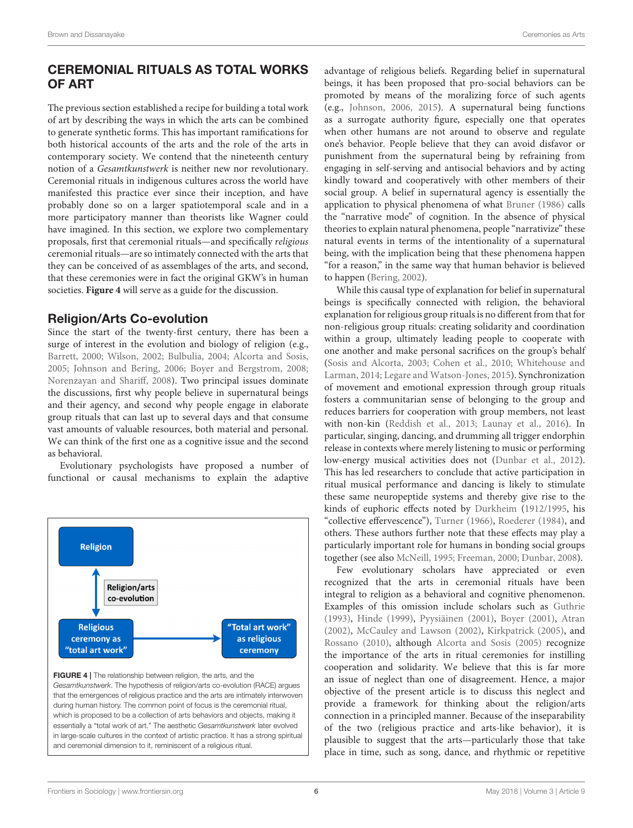# CEREMONIAL RITUALS AS TOTAL WORKS OF ART

The previous section established a recipe for building a total work of art by describing the ways in which the arts can be combined to generate synthetic forms. This has important ramifications for both historical accounts of the arts and the role of the arts in contemporary society. We contend that the nineteenth century notion of a Gesamtkunstwerk is neither new nor revolutionary. Ceremonial rituals in indigenous cultures across the world have manifested this practice ever since their inception, and have probably done so on a larger spatiotemporal scale and in a more participatory manner than theorists like Wagner could have imagined. In this section, we explore two complementary proposals, first that ceremonial rituals—and specifically religious ceremonial rituals—are so intimately connected with the arts that they can be conceived of as assemblages of the arts, and second, that these ceremonies were in fact the original GKW's in human societies. **[Figure 4](#page-5-0)** will serve as a guide for the discussion.

# Religion/Arts Co-evolution

Since the start of the twenty-first century, there has been a surge of interest in the evolution and biology of religion (e.g., [Barrett, 2000;](#page-8-1) [Wilson, 2002;](#page-10-1) [Bulbulia, 2004;](#page-8-2) [Alcorta and Sosis,](#page-8-3) [2005;](#page-8-3) [Johnson and Bering, 2006;](#page-9-17) [Boyer and Bergstrom, 2008;](#page-8-4) [Norenzayan and Shariff, 2008\)](#page-9-18). Two principal issues dominate the discussions, first why people believe in supernatural beings and their agency, and second why people engage in elaborate group rituals that can last up to several days and that consume vast amounts of valuable resources, both material and personal. We can think of the first one as a cognitive issue and the second as behavioral.

Evolutionary psychologists have proposed a number of functional or causal mechanisms to explain the adaptive



<span id="page-5-0"></span>

advantage of religious beliefs. Regarding belief in supernatural beings, it has been proposed that pro-social behaviors can be promoted by means of the moralizing force of such agents (e.g., [Johnson, 2006,](#page-9-19) [2015\)](#page-9-20). A supernatural being functions as a surrogate authority figure, especially one that operates when other humans are not around to observe and regulate one's behavior. People believe that they can avoid disfavor or punishment from the supernatural being by refraining from engaging in self-serving and antisocial behaviors and by acting kindly toward and cooperatively with other members of their social group. A belief in supernatural agency is essentially the application to physical phenomena of what [Bruner \(1986\)](#page-8-5) calls the "narrative mode" of cognition. In the absence of physical theories to explain natural phenomena, people "narrativize" these natural events in terms of the intentionality of a supernatural being, with the implication being that these phenomena happen "for a reason," in the same way that human behavior is believed to happen [\(Bering, 2002\)](#page-8-6).

While this causal type of explanation for belief in supernatural beings is specifically connected with religion, the behavioral explanation for religious group rituals is no different from that for non-religious group rituals: creating solidarity and coordination within a group, ultimately leading people to cooperate with one another and make personal sacrifices on the group's behalf [\(Sosis and Alcorta, 2003;](#page-9-21) [Cohen et al., 2010;](#page-8-7) Whitehouse and Larman, [2014;](#page-10-2) [Legare and Watson-Jones, 2015\)](#page-9-22). Synchronization of movement and emotional expression through group rituals fosters a communitarian sense of belonging to the group and reduces barriers for cooperation with group members, not least with non-kin [\(Reddish et al., 2013;](#page-9-23) [Launay et al., 2016\)](#page-9-24). In particular, singing, dancing, and drumming all trigger endorphin release in contexts where merely listening to music or performing low-energy musical activities does not [\(Dunbar et al., 2012\)](#page-9-25). This has led researchers to conclude that active participation in ritual musical performance and dancing is likely to stimulate these same neuropeptide systems and thereby give rise to the kinds of euphoric effects noted by [Durkheim](#page-9-1) [\(1912/1995,](#page-9-1) his "collective effervescence"), [Turner \(1966\)](#page-9-2), [Roederer \(1984\)](#page-9-26), and others. These authors further note that these effects may play a particularly important role for humans in bonding social groups together (see also [McNeill, 1995;](#page-9-27) [Freeman, 2000;](#page-9-28) [Dunbar, 2008\)](#page-9-29).

Few evolutionary scholars have appreciated or even recognized that the arts in ceremonial rituals have been integral to religion as a behavioral and cognitive phenomenon. Examples of this omission include scholars such as [Guthrie](#page-9-30) [\(1993\)](#page-9-30), [Hinde \(1999\)](#page-9-31), [Pyysiäinen \(2001\)](#page-9-32), [Boyer \(2001\)](#page-8-8), [Atran](#page-8-9) [\(2002\)](#page-8-9), [McCauley and Lawson \(2002\)](#page-9-33), [Kirkpatrick \(2005\)](#page-9-34), and [Rossano \(2010\)](#page-9-35), although [Alcorta and Sosis \(2005\)](#page-8-3) recognize the importance of the arts in ritual ceremonies for instilling cooperation and solidarity. We believe that this is far more an issue of neglect than one of disagreement. Hence, a major objective of the present article is to discuss this neglect and provide a framework for thinking about the religion/arts connection in a principled manner. Because of the inseparability of the two (religious practice and arts-like behavior), it is plausible to suggest that the arts—particularly those that take place in time, such as song, dance, and rhythmic or repetitive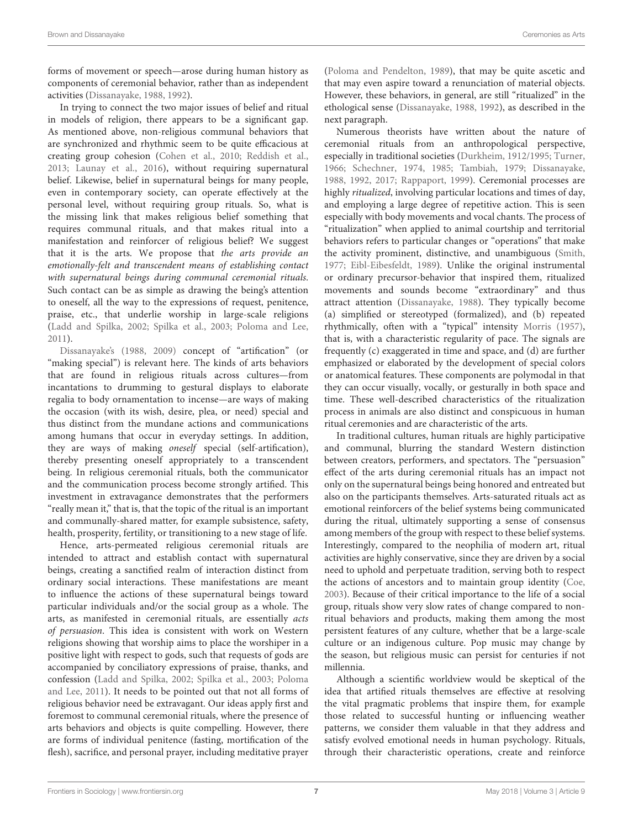forms of movement or speech—arose during human history as components of ceremonial behavior, rather than as independent activities [\(Dissanayake, 1988,](#page-9-6) [1992\)](#page-9-36).

In trying to connect the two major issues of belief and ritual in models of religion, there appears to be a significant gap. As mentioned above, non-religious communal behaviors that are synchronized and rhythmic seem to be quite efficacious at creating group cohesion [\(Cohen et al., 2010;](#page-8-7) [Reddish et al.,](#page-9-23) [2013;](#page-9-23) [Launay et al., 2016\)](#page-9-24), without requiring supernatural belief. Likewise, belief in supernatural beings for many people, even in contemporary society, can operate effectively at the personal level, without requiring group rituals. So, what is the missing link that makes religious belief something that requires communal rituals, and that makes ritual into a manifestation and reinforcer of religious belief? We suggest that it is the arts. We propose that the arts provide an emotionally-felt and transcendent means of establishing contact with supernatural beings during communal ceremonial rituals. Such contact can be as simple as drawing the being's attention to oneself, all the way to the expressions of request, penitence, praise, etc., that underlie worship in large-scale religions [\(Ladd and Spilka, 2002;](#page-9-37) [Spilka et al., 2003;](#page-9-38) [Poloma and Lee,](#page-9-39) [2011\)](#page-9-39).

[Dissanayake's \(1988,](#page-9-6) [2009\)](#page-9-40) concept of "artification" (or "making special") is relevant here. The kinds of arts behaviors that are found in religious rituals across cultures—from incantations to drumming to gestural displays to elaborate regalia to body ornamentation to incense—are ways of making the occasion (with its wish, desire, plea, or need) special and thus distinct from the mundane actions and communications among humans that occur in everyday settings. In addition, they are ways of making oneself special (self-artification), thereby presenting oneself appropriately to a transcendent being. In religious ceremonial rituals, both the communicator and the communication process become strongly artified. This investment in extravagance demonstrates that the performers "really mean it," that is, that the topic of the ritual is an important and communally-shared matter, for example subsistence, safety, health, prosperity, fertility, or transitioning to a new stage of life.

Hence, arts-permeated religious ceremonial rituals are intended to attract and establish contact with supernatural beings, creating a sanctified realm of interaction distinct from ordinary social interactions. These manifestations are meant to influence the actions of these supernatural beings toward particular individuals and/or the social group as a whole. The arts, as manifested in ceremonial rituals, are essentially acts of persuasion. This idea is consistent with work on Western religions showing that worship aims to place the worshiper in a positive light with respect to gods, such that requests of gods are accompanied by conciliatory expressions of praise, thanks, and confession [\(Ladd and Spilka, 2002;](#page-9-37) [Spilka et al., 2003;](#page-9-38) Poloma and Lee, [2011\)](#page-9-39). It needs to be pointed out that not all forms of religious behavior need be extravagant. Our ideas apply first and foremost to communal ceremonial rituals, where the presence of arts behaviors and objects is quite compelling. However, there are forms of individual penitence (fasting, mortification of the flesh), sacrifice, and personal prayer, including meditative prayer [\(Poloma and Pendelton, 1989\)](#page-9-41), that may be quite ascetic and that may even aspire toward a renunciation of material objects. However, these behaviors, in general, are still "ritualized" in the ethological sense [\(Dissanayake, 1988,](#page-9-6) [1992\)](#page-9-36), as described in the next paragraph.

Numerous theorists have written about the nature of ceremonial rituals from an anthropological perspective, especially in traditional societies [\(Durkheim, 1912/1995;](#page-9-1) [Turner,](#page-9-2) [1966;](#page-9-2) [Schechner, 1974,](#page-9-3) [1985;](#page-9-4) [Tambiah, 1979;](#page-9-5) [Dissanayake,](#page-9-6) [1988,](#page-9-6) [1992,](#page-9-36) [2017;](#page-9-7) [Rappaport, 1999\)](#page-9-8). Ceremonial processes are highly ritualized, involving particular locations and times of day, and employing a large degree of repetitive action. This is seen especially with body movements and vocal chants. The process of "ritualization" when applied to animal courtship and territorial behaviors refers to particular changes or "operations" that make the activity prominent, distinctive, and unambiguous [\(Smith,](#page-9-42) [1977;](#page-9-42) [Eibl-Eibesfeldt, 1989\)](#page-9-43). Unlike the original instrumental or ordinary precursor-behavior that inspired them, ritualized movements and sounds become "extraordinary" and thus attract attention [\(Dissanayake, 1988\)](#page-9-6). They typically become (a) simplified or stereotyped (formalized), and (b) repeated rhythmically, often with a "typical" intensity [Morris \(1957\)](#page-9-44), that is, with a characteristic regularity of pace. The signals are frequently (c) exaggerated in time and space, and (d) are further emphasized or elaborated by the development of special colors or anatomical features. These components are polymodal in that they can occur visually, vocally, or gesturally in both space and time. These well-described characteristics of the ritualization process in animals are also distinct and conspicuous in human ritual ceremonies and are characteristic of the arts.

In traditional cultures, human rituals are highly participative and communal, blurring the standard Western distinction between creators, performers, and spectators. The "persuasion" effect of the arts during ceremonial rituals has an impact not only on the supernatural beings being honored and entreated but also on the participants themselves. Arts-saturated rituals act as emotional reinforcers of the belief systems being communicated during the ritual, ultimately supporting a sense of consensus among members of the group with respect to these belief systems. Interestingly, compared to the neophilia of modern art, ritual activities are highly conservative, since they are driven by a social need to uphold and perpetuate tradition, serving both to respect the actions of ancestors and to maintain group identity [\(Coe,](#page-8-10) [2003\)](#page-8-10). Because of their critical importance to the life of a social group, rituals show very slow rates of change compared to nonritual behaviors and products, making them among the most persistent features of any culture, whether that be a large-scale culture or an indigenous culture. Pop music may change by the season, but religious music can persist for centuries if not millennia.

Although a scientific worldview would be skeptical of the idea that artified rituals themselves are effective at resolving the vital pragmatic problems that inspire them, for example those related to successful hunting or influencing weather patterns, we consider them valuable in that they address and satisfy evolved emotional needs in human psychology. Rituals, through their characteristic operations, create and reinforce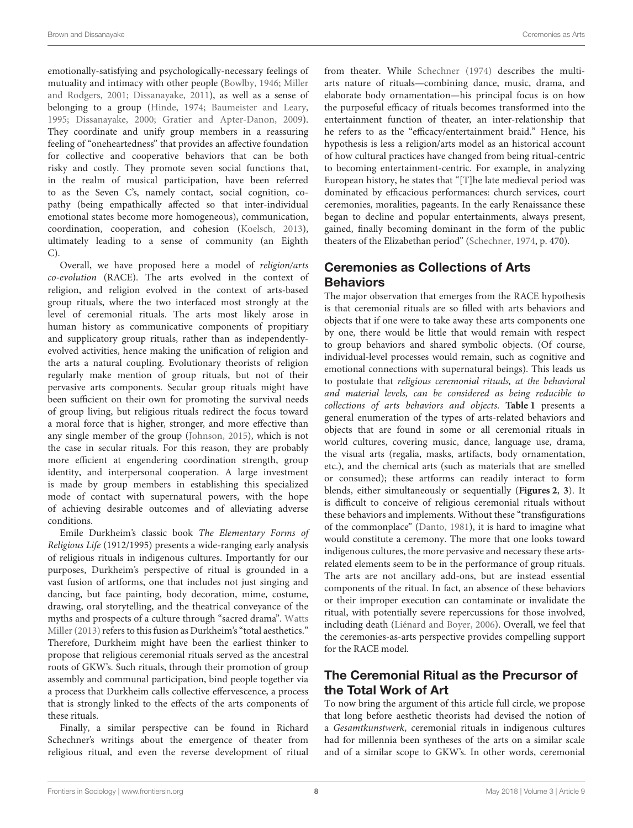emotionally-satisfying and psychologically-necessary feelings of mutuality and intimacy with other people [\(Bowlby, 1946;](#page-8-11) Miller and Rodgers, [2001;](#page-9-45) [Dissanayake, 2011\)](#page-9-46), as well as a sense of belonging to a group [\(Hinde, 1974;](#page-9-47) [Baumeister and Leary,](#page-8-12) [1995;](#page-8-12) [Dissanayake, 2000;](#page-9-48) [Gratier and Apter-Danon, 2009\)](#page-9-49). They coordinate and unify group members in a reassuring feeling of "oneheartedness" that provides an affective foundation for collective and cooperative behaviors that can be both risky and costly. They promote seven social functions that, in the realm of musical participation, have been referred to as the Seven C's, namely contact, social cognition, copathy (being empathically affected so that inter-individual emotional states become more homogeneous), communication, coordination, cooperation, and cohesion [\(Koelsch, 2013\)](#page-9-50), ultimately leading to a sense of community (an Eighth C).

Overall, we have proposed here a model of religion/arts co-evolution (RACE). The arts evolved in the context of religion, and religion evolved in the context of arts-based group rituals, where the two interfaced most strongly at the level of ceremonial rituals. The arts most likely arose in human history as communicative components of propitiary and supplicatory group rituals, rather than as independentlyevolved activities, hence making the unification of religion and the arts a natural coupling. Evolutionary theorists of religion regularly make mention of group rituals, but not of their pervasive arts components. Secular group rituals might have been sufficient on their own for promoting the survival needs of group living, but religious rituals redirect the focus toward a moral force that is higher, stronger, and more effective than any single member of the group [\(Johnson, 2015\)](#page-9-20), which is not the case in secular rituals. For this reason, they are probably more efficient at engendering coordination strength, group identity, and interpersonal cooperation. A large investment is made by group members in establishing this specialized mode of contact with supernatural powers, with the hope of achieving desirable outcomes and of alleviating adverse conditions.

Emile Durkheim's classic book The Elementary Forms of Religious Life (1912/1995) presents a wide-ranging early analysis of religious rituals in indigenous cultures. Importantly for our purposes, Durkheim's perspective of ritual is grounded in a vast fusion of artforms, one that includes not just singing and dancing, but face painting, body decoration, mime, costume, drawing, oral storytelling, and the theatrical conveyance of the myths and prospects of a culture through "sacred drama". Watts Miller [\(2013\)](#page-10-3) refers to this fusion as Durkheim's "total aesthetics." Therefore, Durkheim might have been the earliest thinker to propose that religious ceremonial rituals served as the ancestral roots of GKW's. Such rituals, through their promotion of group assembly and communal participation, bind people together via a process that Durkheim calls collective effervescence, a process that is strongly linked to the effects of the arts components of these rituals.

Finally, a similar perspective can be found in Richard Schechner's writings about the emergence of theater from religious ritual, and even the reverse development of ritual from theater. While [Schechner \(1974\)](#page-9-3) describes the multiarts nature of rituals—combining dance, music, drama, and elaborate body ornamentation—his principal focus is on how the purposeful efficacy of rituals becomes transformed into the entertainment function of theater, an inter-relationship that he refers to as the "efficacy/entertainment braid." Hence, his hypothesis is less a religion/arts model as an historical account of how cultural practices have changed from being ritual-centric to becoming entertainment-centric. For example, in analyzing European history, he states that "[T]he late medieval period was dominated by efficacious performances: church services, court ceremonies, moralities, pageants. In the early Renaissance these began to decline and popular entertainments, always present, gained, finally becoming dominant in the form of the public theaters of the Elizabethan period" [\(Schechner, 1974,](#page-9-3) p. 470).

# Ceremonies as Collections of Arts **Behaviors**

The major observation that emerges from the RACE hypothesis is that ceremonial rituals are so filled with arts behaviors and objects that if one were to take away these arts components one by one, there would be little that would remain with respect to group behaviors and shared symbolic objects. (Of course, individual-level processes would remain, such as cognitive and emotional connections with supernatural beings). This leads us to postulate that religious ceremonial rituals, at the behavioral and material levels, can be considered as being reducible to collections of arts behaviors and objects. **[Table 1](#page-8-13)** presents a general enumeration of the types of arts-related behaviors and objects that are found in some or all ceremonial rituals in world cultures, covering music, dance, language use, drama, the visual arts (regalia, masks, artifacts, body ornamentation, etc.), and the chemical arts (such as materials that are smelled or consumed); these artforms can readily interact to form blends, either simultaneously or sequentially (**[Figures 2](#page-3-0)**, **[3](#page-4-0)**). It is difficult to conceive of religious ceremonial rituals without these behaviors and implements. Without these "transfigurations of the commonplace" [\(Danto, 1981\)](#page-8-14), it is hard to imagine what would constitute a ceremony. The more that one looks toward indigenous cultures, the more pervasive and necessary these artsrelated elements seem to be in the performance of group rituals. The arts are not ancillary add-ons, but are instead essential components of the ritual. In fact, an absence of these behaviors or their improper execution can contaminate or invalidate the ritual, with potentially severe repercussions for those involved, including death [\(Liénard and Boyer, 2006\)](#page-9-51). Overall, we feel that the ceremonies-as-arts perspective provides compelling support for the RACE model.

# The Ceremonial Ritual as the Precursor of the Total Work of Art

To now bring the argument of this article full circle, we propose that long before aesthetic theorists had devised the notion of a Gesamtkunstwerk, ceremonial rituals in indigenous cultures had for millennia been syntheses of the arts on a similar scale and of a similar scope to GKW's. In other words, ceremonial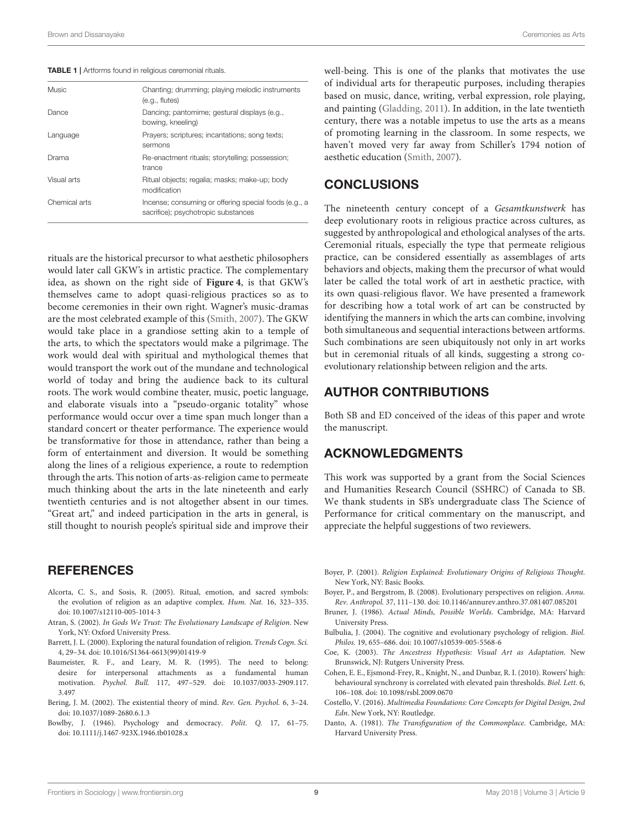<span id="page-8-13"></span>

|  |  |  |  | TABLE 1   Artforms found in religious ceremonial rituals. |  |
|--|--|--|--|-----------------------------------------------------------|--|
|--|--|--|--|-----------------------------------------------------------|--|

| Music         | Chanting; drumming; playing melodic instruments<br>$(e.q.,$ flutes $)$                       |
|---------------|----------------------------------------------------------------------------------------------|
| Dance         | Dancing; pantomime; gestural displays (e.g.,<br>bowing, kneeling)                            |
| Language      | Prayers; scriptures; incantations; song texts;<br>sermons                                    |
| Drama         | Re-enactment rituals; storytelling; possession;<br>trance                                    |
| Visual arts   | Ritual objects; regalia; masks; make-up; body<br>modification                                |
| Chemical arts | Incense; consuming or offering special foods (e.g., a<br>sacrifice); psychotropic substances |
|               |                                                                                              |

rituals are the historical precursor to what aesthetic philosophers would later call GKW's in artistic practice. The complementary idea, as shown on the right side of **[Figure 4](#page-5-0)**, is that GKW's themselves came to adopt quasi-religious practices so as to become ceremonies in their own right. Wagner's music-dramas are the most celebrated example of this [\(Smith, 2007\)](#page-9-0). The GKW would take place in a grandiose setting akin to a temple of the arts, to which the spectators would make a pilgrimage. The work would deal with spiritual and mythological themes that would transport the work out of the mundane and technological world of today and bring the audience back to its cultural roots. The work would combine theater, music, poetic language, and elaborate visuals into a "pseudo-organic totality" whose performance would occur over a time span much longer than a standard concert or theater performance. The experience would be transformative for those in attendance, rather than being a form of entertainment and diversion. It would be something along the lines of a religious experience, a route to redemption through the arts. This notion of arts-as-religion came to permeate much thinking about the arts in the late nineteenth and early twentieth centuries and is not altogether absent in our times. "Great art," and indeed participation in the arts in general, is still thought to nourish people's spiritual side and improve their

#### **REFERENCES**

- <span id="page-8-3"></span>Alcorta, C. S., and Sosis, R. (2005). Ritual, emotion, and sacred symbols: the evolution of religion as an adaptive complex. Hum. Nat. 16, 323–335. doi: [10.1007/s12110-005-1014-3](https://doi.org/10.1007/s12110-005-1014-3)
- <span id="page-8-9"></span>Atran, S. (2002). In Gods We Trust: The Evolutionary Landscape of Religion. New York, NY: Oxford University Press.
- <span id="page-8-1"></span>Barrett, J. L. (2000). Exploring the natural foundation of religion. Trends Cogn. Sci. 4, 29–34. doi: [10.1016/S1364-6613\(99\)01419-9](https://doi.org/10.1016/S1364-6613(99)01419-9)
- <span id="page-8-12"></span>Baumeister, R. F., and Leary, M. R. (1995). The need to belong: desire for interpersonal attachments as a fundamental human motivation. Psychol. Bull. [117, 497–529. doi: 10.1037/0033-2909.117.](https://doi.org/10.1037/0033-2909.117.3.497) 3.497
- <span id="page-8-6"></span>Bering, J. M. (2002). The existential theory of mind. Rev. Gen. Psychol. 6, 3–24. doi: [10.1037/1089-2680.6.1.3](https://doi.org/10.1037/1089-2680.6.1.3)
- <span id="page-8-11"></span>Bowlby, J. (1946). Psychology and democracy. Polit. Q. 17, 61–75. doi: [10.1111/j.1467-923X.1946.tb01028.x](https://doi.org/10.1111/j.1467-923X.1946.tb01028.x)

well-being. This is one of the planks that motivates the use of individual arts for therapeutic purposes, including therapies based on music, dance, writing, verbal expression, role playing, and painting [\(Gladding, 2011\)](#page-9-52). In addition, in the late twentieth century, there was a notable impetus to use the arts as a means of promoting learning in the classroom. In some respects, we haven't moved very far away from Schiller's 1794 notion of aesthetic education [\(Smith, 2007\)](#page-9-0).

#### **CONCLUSIONS**

The nineteenth century concept of a Gesamtkunstwerk has deep evolutionary roots in religious practice across cultures, as suggested by anthropological and ethological analyses of the arts. Ceremonial rituals, especially the type that permeate religious practice, can be considered essentially as assemblages of arts behaviors and objects, making them the precursor of what would later be called the total work of art in aesthetic practice, with its own quasi-religious flavor. We have presented a framework for describing how a total work of art can be constructed by identifying the manners in which the arts can combine, involving both simultaneous and sequential interactions between artforms. Such combinations are seen ubiquitously not only in art works but in ceremonial rituals of all kinds, suggesting a strong coevolutionary relationship between religion and the arts.

### AUTHOR CONTRIBUTIONS

Both SB and ED conceived of the ideas of this paper and wrote the manuscript.

#### ACKNOWLEDGMENTS

This work was supported by a grant from the Social Sciences and Humanities Research Council (SSHRC) of Canada to SB. We thank students in SB's undergraduate class The Science of Performance for critical commentary on the manuscript, and appreciate the helpful suggestions of two reviewers.

- <span id="page-8-8"></span>Boyer, P. (2001). Religion Explained: Evolutionary Origins of Religious Thought. New York, NY: Basic Books.
- <span id="page-8-4"></span>Boyer, P., and Bergstrom, B. (2008). Evolutionary perspectives on religion. Annu. Rev. Anthropol. 37, 111–130. doi: [10.1146/annurev.anthro.37.081407.085201](https://doi.org/10.1146/annurev.anthro.37.081407.085201)
- <span id="page-8-5"></span>Bruner, J. (1986). Actual Minds, Possible Worlds. Cambridge, MA: Harvard University Press.
- <span id="page-8-2"></span>Bulbulia, J. (2004). The cognitive and evolutionary psychology of religion. Biol. Philos. 19, 655–686. doi: [10.1007/s10539-005-5568-6](https://doi.org/10.1007/s10539-005-5568-6)
- <span id="page-8-10"></span>Coe, K. (2003). The Ancestress Hypothesis: Visual Art as Adaptation. New Brunswick, NJ: Rutgers University Press.
- <span id="page-8-7"></span>Cohen, E. E., Ejsmond-Frey, R., Knight, N., and Dunbar, R. I. (2010). Rowers' high: behavioural synchrony is correlated with elevated pain thresholds. Biol. Lett. 6, 106–108. doi: [10.1098/rsbl.2009.0670](https://doi.org/10.1098/rsbl.2009.0670)
- <span id="page-8-0"></span>Costello, V. (2016). Multimedia Foundations: Core Concepts for Digital Design, 2nd Edn. New York, NY: Routledge.
- <span id="page-8-14"></span>Danto, A. (1981). The Transfiguration of the Commonplace. Cambridge, MA: Harvard University Press.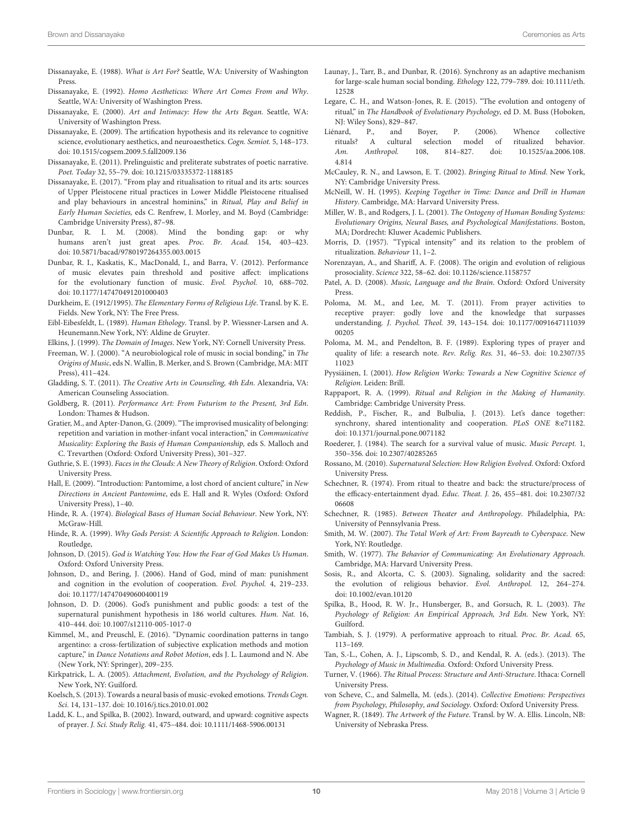- <span id="page-9-6"></span>Dissanayake, E. (1988). What is Art For? Seattle, WA: University of Washington Press.
- <span id="page-9-36"></span>Dissanayake, E. (1992). Homo Aestheticus: Where Art Comes From and Why. Seattle, WA: University of Washington Press.
- <span id="page-9-48"></span>Dissanayake, E. (2000). Art and Intimacy: How the Arts Began. Seattle, WA: University of Washington Press.
- <span id="page-9-40"></span>Dissanayake, E. (2009). The artification hypothesis and its relevance to cognitive science, evolutionary aesthetics, and neuroaesthetics. Cogn. Semiot. 5, 148–173. doi: [10.1515/cogsem.2009.5.fall2009.136](https://doi.org/10.1515/cogsem.2009.5.fall2009.136)
- <span id="page-9-46"></span>Dissanayake, E. (2011). Prelinguistic and preliterate substrates of poetic narrative. Poet. Today 32, 55–79. doi: [10.1215/03335372-1188185](https://doi.org/10.1215/03335372-1188185)
- <span id="page-9-7"></span>Dissanayake, E. (2017). "From play and ritualisation to ritual and its arts: sources of Upper Pleistocene ritual practices in Lower Middle Pleistocene ritualised and play behaviours in ancestral hominins," in Ritual, Play and Belief in Early Human Societies, eds C. Renfrew, I. Morley, and M. Boyd (Cambridge: Cambridge University Press), 87–98.
- <span id="page-9-29"></span>Dunbar, R. I. M. (2008). Mind the bonding gap: or why humans aren't just great apes. Proc. Br. Acad. 154, 403–423. doi: [10.5871/bacad/9780197264355.003.0015](https://doi.org/10.5871/bacad/9780197264355.003.0015)
- <span id="page-9-25"></span>Dunbar, R. I., Kaskatis, K., MacDonald, I., and Barra, V. (2012). Performance of music elevates pain threshold and positive affect: implications for the evolutionary function of music. Evol. Psychol. 10, 688–702. doi: [10.1177/147470491201000403](https://doi.org/10.1177/147470491201000403)
- <span id="page-9-1"></span>Durkheim, E. (1912/1995). The Elementary Forms of Religious Life. Transl. by K. E. Fields. New York, NY: The Free Press.
- <span id="page-9-43"></span>Eibl-Eibesfeldt, L. (1989). Human Ethology. Transl. by P. Wiessner-Larsen and A. Heunemann.New York, NY: Aldine de Gruyter.
- <span id="page-9-9"></span>Elkins, J. (1999). The Domain of Images. New York, NY: Cornell University Press.
- <span id="page-9-28"></span>Freeman, W. J. (2000). "A neurobiological role of music in social bonding," in The Origins of Music, eds N. Wallin, B. Merker, and S. Brown (Cambridge, MA: MIT Press), 411–424.
- <span id="page-9-52"></span>Gladding, S. T. (2011). The Creative Arts in Counseling, 4th Edn. Alexandria, VA: American Counseling Association.
- <span id="page-9-13"></span>Goldberg, R. (2011). Performance Art: From Futurism to the Present, 3rd Edn. London: Thames & Hudson.
- <span id="page-9-49"></span>Gratier, M., and Apter-Danon, G. (2009). "The improvised musicality of belonging: repetition and variation in mother-infant vocal interaction," in Communicative Musicality: Exploring the Basis of Human Companionship, eds S. Malloch and C. Trevarthen (Oxford: Oxford University Press), 301–327.
- <span id="page-9-30"></span>Guthrie, S. E. (1993). Faces in the Clouds: A New Theory of Religion. Oxford: Oxford University Press.
- <span id="page-9-14"></span>Hall, E. (2009). "Introduction: Pantomime, a lost chord of ancient culture," in New Directions in Ancient Pantomime, eds E. Hall and R. Wyles (Oxford: Oxford University Press), 1–40.
- <span id="page-9-47"></span>Hinde, R. A. (1974). Biological Bases of Human Social Behaviour. New York, NY: McGraw-Hill
- <span id="page-9-31"></span>Hinde, R. A. (1999). Why Gods Persist: A Scientific Approach to Religion. London: Routledge,
- <span id="page-9-20"></span>Johnson, D. (2015). God is Watching You: How the Fear of God Makes Us Human. Oxford: Oxford University Press.
- <span id="page-9-17"></span>Johnson, D., and Bering, J. (2006). Hand of God, mind of man: punishment and cognition in the evolution of cooperation. Evol. Psychol. 4, 219–233. doi: [10.1177/147470490600400119](https://doi.org/10.1177/147470490600400119)
- <span id="page-9-19"></span>Johnson, D. D. (2006). God's punishment and public goods: a test of the supernatural punishment hypothesis in 186 world cultures. Hum. Nat. 16, 410–444. doi: [10.1007/s12110-005-1017-0](https://doi.org/10.1007/s12110-005-1017-0)
- <span id="page-9-11"></span>Kimmel, M., and Preuschl, E. (2016). "Dynamic coordination patterns in tango argentino: a cross-fertilization of subjective explication methods and motion capture," in Dance Notations and Robot Motion, eds J. L. Laumond and N. Abe (New York, NY: Springer), 209–235.
- <span id="page-9-34"></span>Kirkpatrick, L. A. (2005). Attachment, Evolution, and the Psychology of Religion. New York, NY: Guilford.
- <span id="page-9-50"></span>Koelsch, S. (2013). Towards a neural basis of music-evoked emotions. Trends Cogn. Sci. 14, 131–137. doi: [10.1016/j.tics.2010.01.002](https://doi.org/10.1016/j.tics.2010.01.002)
- <span id="page-9-37"></span>Ladd, K. L., and Spilka, B. (2002). Inward, outward, and upward: cognitive aspects of prayer. J. Sci. Study Relig. 41, 475–484. doi: [10.1111/1468-5906.00131](https://doi.org/10.1111/1468-5906.00131)
- <span id="page-9-24"></span>Launay, J., Tarr, B., and Dunbar, R. (2016). Synchrony as an adaptive mechanism [for large-scale human social bonding.](https://doi.org/10.1111/eth.12528) Ethology 122, 779–789. doi: 10.1111/eth. 12528
- <span id="page-9-22"></span>Legare, C. H., and Watson-Jones, R. E. (2015). "The evolution and ontogeny of ritual," in The Handbook of Evolutionary Psychology, ed D. M. Buss (Hoboken, NJ: Wiley Sons), 829–847.
- <span id="page-9-51"></span>Liénard, P., and Boyer, P. (2006). Whence collective rituals? A cultural selection model of ritualized behavior. Am. Anthropol. [108, 814–827. doi: 10.1525/aa.2006.108.](https://doi.org/10.1525/aa.2006.108.4.814) 4.814
- <span id="page-9-33"></span>McCauley, R. N., and Lawson, E. T. (2002). Bringing Ritual to Mind. New York, NY: Cambridge University Press.
- <span id="page-9-27"></span>McNeill, W. H. (1995). Keeping Together in Time: Dance and Drill in Human History. Cambridge, MA: Harvard University Press.
- <span id="page-9-45"></span>Miller, W. B., and Rodgers, J. L. (2001). The Ontogeny of Human Bonding Systems: Evolutionary Origins, Neural Bases, and Psychological Manifestations. Boston, MA; Dordrecht: Kluwer Academic Publishers.
- <span id="page-9-44"></span>Morris, D. (1957). "Typical intensity" and its relation to the problem of ritualization. Behaviour 11, 1–2.
- <span id="page-9-18"></span>Norenzayan, A., and Shariff, A. F. (2008). The origin and evolution of religious prosociality. Science 322, 58–62. doi: [10.1126/science.1158757](https://doi.org/10.1126/science.1158757)
- <span id="page-9-10"></span>Patel, A. D. (2008). Music, Language and the Brain. Oxford: Oxford University Press.
- <span id="page-9-39"></span>Poloma, M. M., and Lee, M. T. (2011). From prayer activities to receptive prayer: godly love and the knowledge that surpasses understanding. J. Psychol. Theol. [39, 143–154. doi: 10.1177/0091647111039](https://doi.org/10.1177/009164711103900205) 00205
- <span id="page-9-41"></span>Poloma, M. M., and Pendelton, B. F. (1989). Exploring types of prayer and [quality of life: a research note.](https://doi.org/10.2307/3511023) Rev. Relig. Res. 31, 46–53. doi: 10.2307/35 11023
- <span id="page-9-32"></span>Pyysiäinen, I. (2001). How Religion Works: Towards a New Cognitive Science of Religion. Leiden: Brill.
- <span id="page-9-8"></span>Rappaport, R. A. (1999). Ritual and Religion in the Making of Humanity. Cambridge: Cambridge University Press.
- <span id="page-9-23"></span>Reddish, P., Fischer, R., and Bulbulia, J. (2013). Let's dance together: synchrony, shared intentionality and cooperation. PLoS ONE 8:e71182. doi: [10.1371/journal.pone.0071182](https://doi.org/10.1371/journal.pone.0071182)
- <span id="page-9-26"></span>Roederer, J. (1984). The search for a survival value of music. Music Percept. 1, 350–356. doi: [10.2307/40285265](https://doi.org/10.2307/40285265)
- <span id="page-9-35"></span>Rossano, M. (2010). Supernatural Selection: How Religion Evolved. Oxford: Oxford University Press.
- <span id="page-9-3"></span>Schechner, R. (1974). From ritual to theatre and back: the structure/process of [the efficacy-entertainment dyad.](https://doi.org/10.2307/3206608) Educ. Theat. J. 26, 455–481. doi: 10.2307/32 06608
- <span id="page-9-4"></span>Schechner, R. (1985). Between Theater and Anthropology. Philadelphia, PA: University of Pennsylvania Press.
- <span id="page-9-0"></span>Smith, M. W. (2007). The Total Work of Art: From Bayreuth to Cyberspace. New York, NY: Routledge.
- <span id="page-9-42"></span>Smith, W. (1977). The Behavior of Communicating: An Evolutionary Approach. Cambridge, MA: Harvard University Press.
- <span id="page-9-21"></span>Sosis, R., and Alcorta, C. S. (2003). Signaling, solidarity and the sacred: the evolution of religious behavior. Evol. Anthropol. 12, 264–274. doi: [10.1002/evan.10120](https://doi.org/10.1002/evan.10120)
- <span id="page-9-38"></span>Spilka, B., Hood, R. W. Jr., Hunsberger, B., and Gorsuch, R. L. (2003). The Psychology of Religion: An Empirical Approach, 3rd Edn. New York, NY: Guilford.
- <span id="page-9-5"></span>Tambiah, S. J. (1979). A performative approach to ritual. Proc. Br. Acad. 65, 113–169.
- <span id="page-9-16"></span>Tan, S.-L., Cohen, A. J., Lipscomb, S. D., and Kendal, R. A. (eds.). (2013). The Psychology of Music in Multimedia. Oxford: Oxford University Press.
- <span id="page-9-2"></span>Turner, V. (1966). The Ritual Process: Structure and Anti-Structure. Ithaca: Cornell University Press.
- <span id="page-9-12"></span>von Scheve, C., and Salmella, M. (eds.). (2014). Collective Emotions: Perspectives from Psychology, Philosophy, and Sociology. Oxford: Oxford University Press.
- <span id="page-9-15"></span>Wagner, R. (1849). The Artwork of the Future. Transl. by W. A. Ellis. Lincoln, NB: University of Nebraska Press.